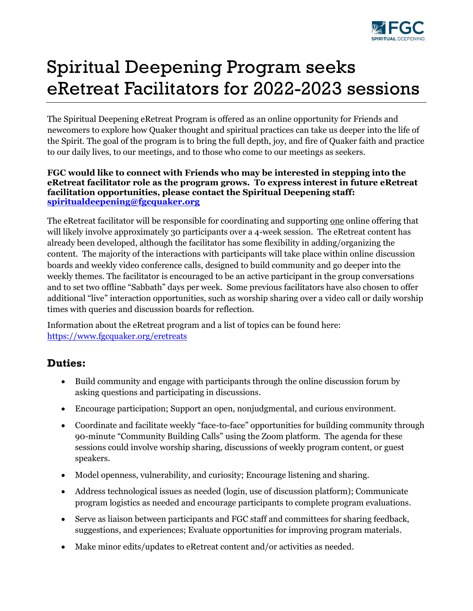

# Spiritual Deepening Program seeks eRetreat Facilitators for 2022-2023 sessions

The Spiritual Deepening eRetreat Program is offered as an online opportunity for Friends and newcomers to explore how Quaker thought and spiritual practices can take us deeper into the life of the Spirit. The goal of the program is to bring the full depth, joy, and fire of Quaker faith and practice to our daily lives, to our meetings, and to those who come to our meetings as seekers.

#### **FGC would like to connect with Friends who may be interested in stepping into the eRetreat facilitator role as the program grows. To express interest in future eRetreat facilitation opportunities, please contact the Spiritual Deepening staff: [spiritualdeepening@fgcquaker.org](mailto:spiritualdeepening@fgcquaker.org)**

The eRetreat facilitator will be responsible for coordinating and supporting one online offering that will likely involve approximately 30 participants over a 4-week session. The eRetreat content has already been developed, although the facilitator has some flexibility in adding/organizing the content. The majority of the interactions with participants will take place within online discussion boards and weekly video conference calls, designed to build community and go deeper into the weekly themes. The facilitator is encouraged to be an active participant in the group conversations and to set two offline "Sabbath" days per week. Some previous facilitators have also chosen to offer additional "live" interaction opportunities, such as worship sharing over a video call or daily worship times with queries and discussion boards for reflection.

Information about the eRetreat program and a list of topics can be found here: <https://www.fgcquaker.org/eretreats>

### **Duties:**

- Build community and engage with participants through the online discussion forum by asking questions and participating in discussions.
- Encourage participation; Support an open, nonjudgmental, and curious environment.
- Coordinate and facilitate weekly "face-to-face" opportunities for building community through 90-minute "Community Building Calls" using the Zoom platform. The agenda for these sessions could involve worship sharing, discussions of weekly program content, or guest speakers.
- Model openness, vulnerability, and curiosity; Encourage listening and sharing.
- Address technological issues as needed (login, use of discussion platform); Communicate program logistics as needed and encourage participants to complete program evaluations.
- Serve as liaison between participants and FGC staff and committees for sharing feedback, suggestions, and experiences; Evaluate opportunities for improving program materials.
- Make minor edits/updates to eRetreat content and/or activities as needed.